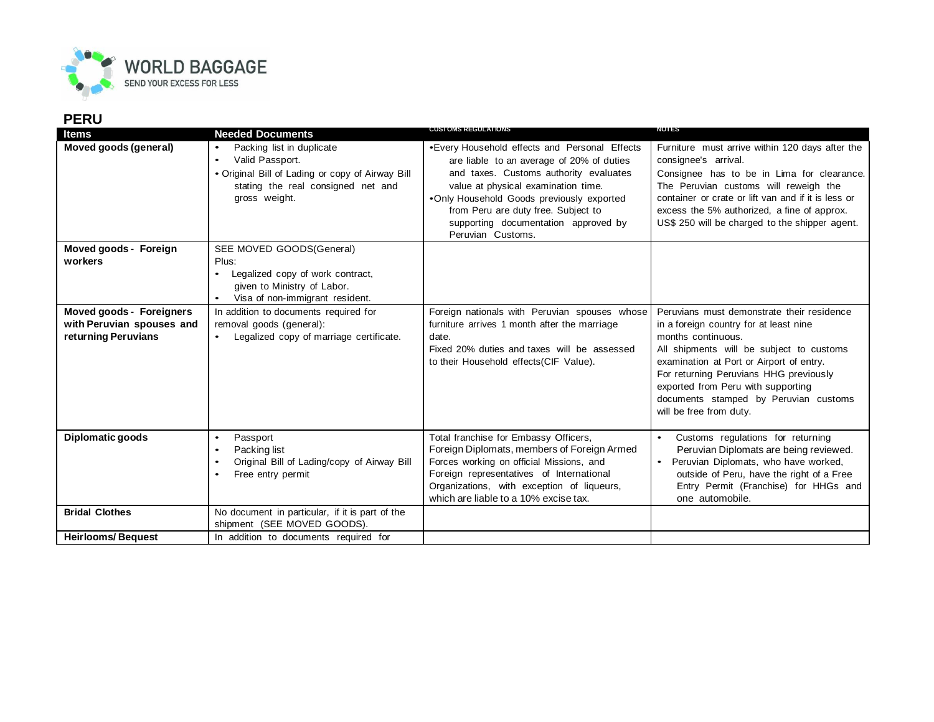

| <b>Items</b>                                                                 | <b>Needed Documents</b>                                                                                                                                 | <b>CUSTOMS REGULATIONS</b>                                                                                                                                                                                                                                                                                                   | <b>NOTES</b>                                                                                                                                                                                                                                                                                                                                           |
|------------------------------------------------------------------------------|---------------------------------------------------------------------------------------------------------------------------------------------------------|------------------------------------------------------------------------------------------------------------------------------------------------------------------------------------------------------------------------------------------------------------------------------------------------------------------------------|--------------------------------------------------------------------------------------------------------------------------------------------------------------------------------------------------------------------------------------------------------------------------------------------------------------------------------------------------------|
| Moved goods (general)                                                        | Packing list in duplicate<br>Valid Passport.<br>• Original Bill of Lading or copy of Airway Bill<br>stating the real consigned net and<br>gross weight. | •Every Household effects and Personal Effects<br>are liable to an average of 20% of duties<br>and taxes. Customs authority evaluates<br>value at physical examination time.<br>•Only Household Goods previously exported<br>from Peru are duty free. Subject to<br>supporting documentation approved by<br>Peruvian Customs. | Furniture must arrive within 120 days after the<br>consignee's arrival.<br>Consignee has to be in Lima for clearance.<br>The Peruvian customs will reweigh the<br>container or crate or lift van and if it is less or<br>excess the 5% authorized, a fine of approx.<br>US\$ 250 will be charged to the shipper agent.                                 |
| Moved goods - Foreign<br>workers                                             | SEE MOVED GOODS(General)<br>Plus:<br>Legalized copy of work contract,<br>given to Ministry of Labor.<br>Visa of non-immigrant resident.                 |                                                                                                                                                                                                                                                                                                                              |                                                                                                                                                                                                                                                                                                                                                        |
| Moved goods - Foreigners<br>with Peruvian spouses and<br>returning Peruvians | In addition to documents required for<br>removal goods (general):<br>Legalized copy of marriage certificate.                                            | Foreign nationals with Peruvian spouses whose<br>furniture arrives 1 month after the marriage<br>date.<br>Fixed 20% duties and taxes will be assessed<br>to their Household effects(CIF Value).                                                                                                                              | Peruvians must demonstrate their residence<br>in a foreign country for at least nine<br>months continuous.<br>All shipments will be subject to customs<br>examination at Port or Airport of entry.<br>For returning Peruvians HHG previously<br>exported from Peru with supporting<br>documents stamped by Peruvian customs<br>will be free from duty. |
| Diplomatic goods                                                             | Passport<br>Packing list<br>Original Bill of Lading/copy of Airway Bill<br>Free entry permit                                                            | Total franchise for Embassy Officers,<br>Foreign Diplomats, members of Foreign Armed<br>Forces working on official Missions, and<br>Foreign representatives of International<br>Organizations, with exception of liqueurs,<br>which are liable to a 10% excise tax.                                                          | Customs regulations for returning<br>Peruvian Diplomats are being reviewed.<br>Peruvian Diplomats, who have worked,<br>$\bullet$<br>outside of Peru, have the right of a Free<br>Entry Permit (Franchise) for HHGs and<br>one automobile.                                                                                                              |
| <b>Bridal Clothes</b>                                                        | No document in particular, if it is part of the<br>shipment (SEE MOVED GOODS).                                                                          |                                                                                                                                                                                                                                                                                                                              |                                                                                                                                                                                                                                                                                                                                                        |
| <b>Heirlooms/Bequest</b>                                                     | In addition to documents required for                                                                                                                   |                                                                                                                                                                                                                                                                                                                              |                                                                                                                                                                                                                                                                                                                                                        |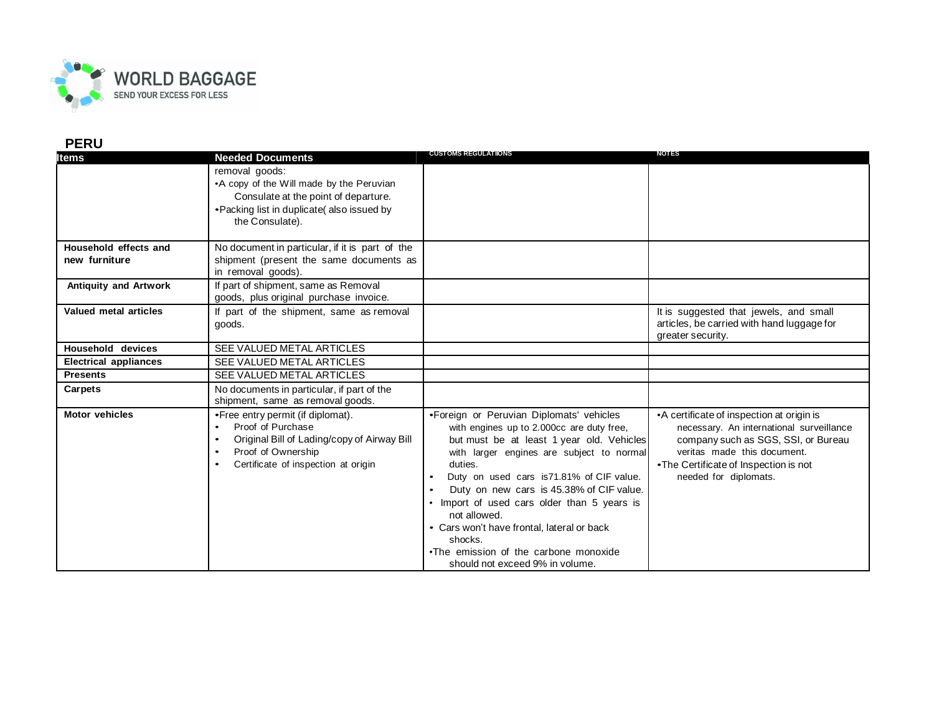

| ltems                                  | <b>Needed Documents</b>                                                                                                                                             | <b>CUSTOMS REGULATIONS</b>                                                                                                                                                                                                                                                                                                                                                                                                                                                                                       | <b>NOTES</b>                                                                                                                                                                                                                  |
|----------------------------------------|---------------------------------------------------------------------------------------------------------------------------------------------------------------------|------------------------------------------------------------------------------------------------------------------------------------------------------------------------------------------------------------------------------------------------------------------------------------------------------------------------------------------------------------------------------------------------------------------------------------------------------------------------------------------------------------------|-------------------------------------------------------------------------------------------------------------------------------------------------------------------------------------------------------------------------------|
|                                        | removal goods:<br>•A copy of the Will made by the Peruvian<br>Consulate at the point of departure.<br>• Packing list in duplicate(also issued by<br>the Consulate). |                                                                                                                                                                                                                                                                                                                                                                                                                                                                                                                  |                                                                                                                                                                                                                               |
| Household effects and<br>new furniture | No document in particular, if it is part of the<br>shipment (present the same documents as<br>in removal goods).                                                    |                                                                                                                                                                                                                                                                                                                                                                                                                                                                                                                  |                                                                                                                                                                                                                               |
| <b>Antiquity and Artwork</b>           | If part of shipment, same as Removal<br>goods, plus original purchase invoice.                                                                                      |                                                                                                                                                                                                                                                                                                                                                                                                                                                                                                                  |                                                                                                                                                                                                                               |
| Valued metal articles                  | If part of the shipment, same as removal<br>goods.                                                                                                                  |                                                                                                                                                                                                                                                                                                                                                                                                                                                                                                                  | It is suggested that jewels, and small<br>articles, be carried with hand luggage for<br>greater security.                                                                                                                     |
| <b>Household devices</b>               | SEE VALUED METAL ARTICLES                                                                                                                                           |                                                                                                                                                                                                                                                                                                                                                                                                                                                                                                                  |                                                                                                                                                                                                                               |
| <b>Electrical appliances</b>           | SEE VALUED METAL ARTICLES                                                                                                                                           |                                                                                                                                                                                                                                                                                                                                                                                                                                                                                                                  |                                                                                                                                                                                                                               |
| <b>Presents</b>                        | SEE VALUED METAL ARTICLES                                                                                                                                           |                                                                                                                                                                                                                                                                                                                                                                                                                                                                                                                  |                                                                                                                                                                                                                               |
| Carpets                                | No documents in particular, if part of the<br>shipment, same as removal goods.                                                                                      |                                                                                                                                                                                                                                                                                                                                                                                                                                                                                                                  |                                                                                                                                                                                                                               |
| <b>Motor vehicles</b>                  | • Free entry permit (if diplomat).<br>Proof of Purchase<br>Original Bill of Lading/copy of Airway Bill<br>Proof of Ownership<br>Certificate of inspection at origin | •Foreign or Peruvian Diplomats' vehicles<br>with engines up to 2.000cc are duty free,<br>but must be at least 1 year old. Vehicles<br>with larger engines are subject to normal<br>duties.<br>Duty on used cars is71.81% of CIF value.<br>$\bullet$<br>Duty on new cars is 45.38% of CIF value.<br>$\bullet$<br>• Import of used cars older than 5 years is<br>not allowed.<br>• Cars won't have frontal, lateral or back<br>shocks.<br>•The emission of the carbone monoxide<br>should not exceed 9% in volume. | •A certificate of inspection at origin is<br>necessary. An international surveillance<br>company such as SGS, SSI, or Bureau<br>veritas made this document.<br>•The Certificate of Inspection is not<br>needed for diplomats. |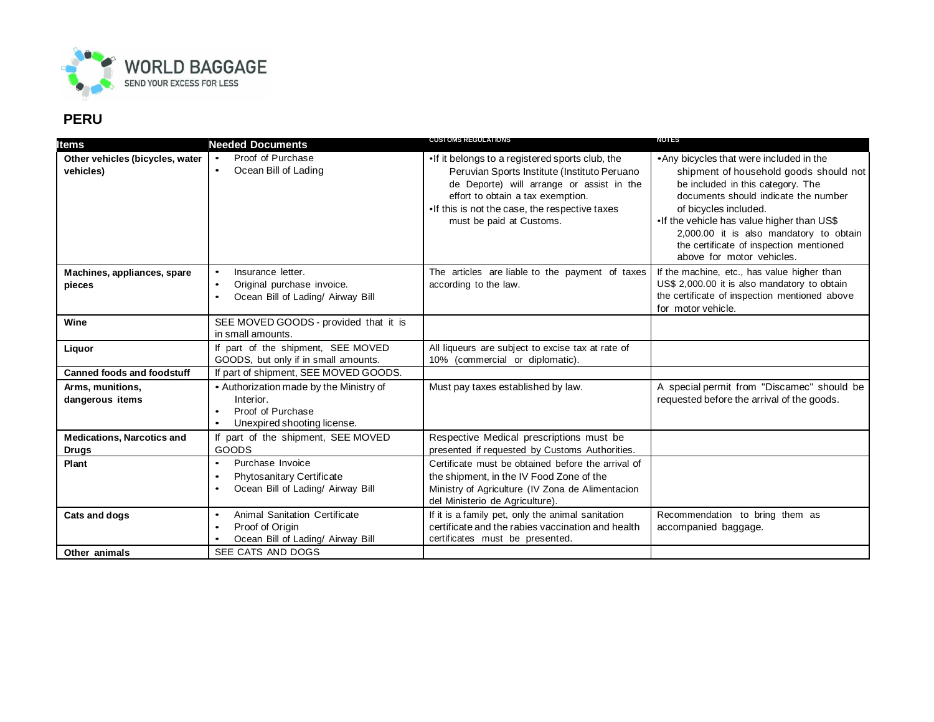

| Items                                             | <b>Needed Documents</b>                                                                                               | <b>CUSTOMS REGULATIONS</b>                                                                                                                                                                                                                                      | NOTES                                                                                                                                                                                                                                                                                                                                                     |
|---------------------------------------------------|-----------------------------------------------------------------------------------------------------------------------|-----------------------------------------------------------------------------------------------------------------------------------------------------------------------------------------------------------------------------------------------------------------|-----------------------------------------------------------------------------------------------------------------------------------------------------------------------------------------------------------------------------------------------------------------------------------------------------------------------------------------------------------|
| Other vehicles (bicycles, water<br>vehicles)      | Proof of Purchase<br>Ocean Bill of Lading                                                                             | .If it belongs to a registered sports club, the<br>Peruvian Sports Institute (Instituto Peruano<br>de Deporte) will arrange or assist in the<br>effort to obtain a tax exemption.<br>•If this is not the case, the respective taxes<br>must be paid at Customs. | • Any bicycles that were included in the<br>shipment of household goods should not<br>be included in this category. The<br>documents should indicate the number<br>of bicycles included.<br>•If the vehicle has value higher than US\$<br>2,000.00 it is also mandatory to obtain<br>the certificate of inspection mentioned<br>above for motor vehicles. |
| Machines, appliances, spare<br>pieces             | Insurance letter.<br>Original purchase invoice.<br>$\bullet$<br>Ocean Bill of Lading/ Airway Bill                     | The articles are liable to the payment of taxes<br>according to the law.                                                                                                                                                                                        | If the machine, etc., has value higher than<br>US\$ 2,000.00 it is also mandatory to obtain<br>the certificate of inspection mentioned above<br>for motor vehicle.                                                                                                                                                                                        |
| Wine                                              | SEE MOVED GOODS - provided that it is<br>in small amounts.                                                            |                                                                                                                                                                                                                                                                 |                                                                                                                                                                                                                                                                                                                                                           |
| Liquor                                            | If part of the shipment, SEE MOVED<br>GOODS, but only if in small amounts.                                            | All liqueurs are subject to excise tax at rate of<br>10% (commercial or diplomatic).                                                                                                                                                                            |                                                                                                                                                                                                                                                                                                                                                           |
| <b>Canned foods and foodstuff</b>                 | If part of shipment, SEE MOVED GOODS.                                                                                 |                                                                                                                                                                                                                                                                 |                                                                                                                                                                                                                                                                                                                                                           |
| Arms, munitions,<br>dangerous items               | • Authorization made by the Ministry of<br>Interior.<br>Proof of Purchase<br>Unexpired shooting license.<br>$\bullet$ | Must pay taxes established by law.                                                                                                                                                                                                                              | A special permit from "Discamec" should be<br>requested before the arrival of the goods.                                                                                                                                                                                                                                                                  |
| <b>Medications, Narcotics and</b><br><b>Drugs</b> | If part of the shipment, SEE MOVED<br>GOODS                                                                           | Respective Medical prescriptions must be<br>presented if requested by Customs Authorities.                                                                                                                                                                      |                                                                                                                                                                                                                                                                                                                                                           |
| Plant                                             | Purchase Invoice<br>Phytosanitary Certificate<br>Ocean Bill of Lading/ Airway Bill                                    | Certificate must be obtained before the arrival of<br>the shipment, in the IV Food Zone of the<br>Ministry of Agriculture (IV Zona de Alimentacion<br>del Ministerio de Agriculture).                                                                           |                                                                                                                                                                                                                                                                                                                                                           |
| <b>Cats and dogs</b>                              | Animal Sanitation Certificate<br>$\bullet$<br>Proof of Origin<br>Ocean Bill of Lading/ Airway Bill                    | If it is a family pet, only the animal sanitation<br>certificate and the rabies vaccination and health<br>certificates must be presented.                                                                                                                       | Recommendation to bring them as<br>accompanied baggage.                                                                                                                                                                                                                                                                                                   |
| Other animals                                     | SEE CATS AND DOGS                                                                                                     |                                                                                                                                                                                                                                                                 |                                                                                                                                                                                                                                                                                                                                                           |